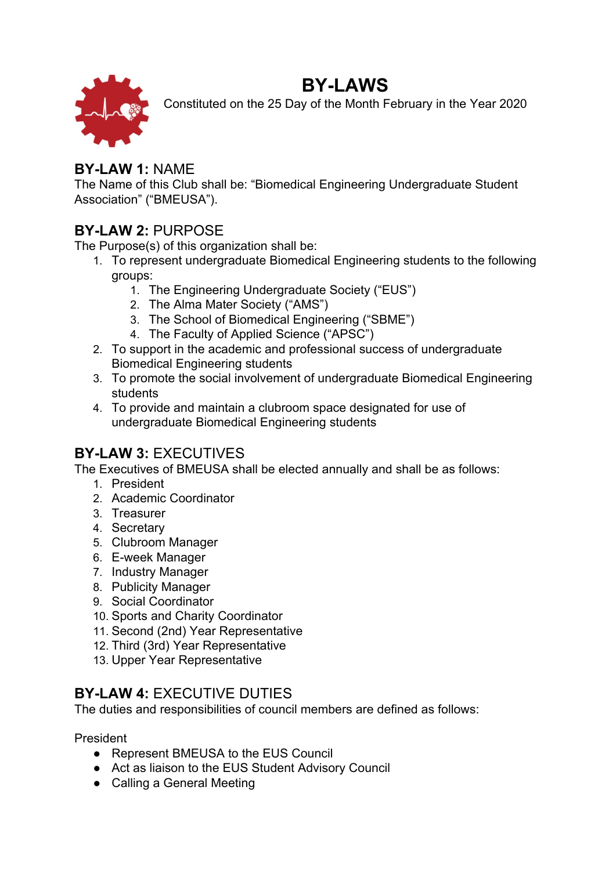# **BY-LAWS**



Constituted on the 25 Day of the Month February in the Year 2020

## **BY-LAW 1:** NAME

The Name of this Club shall be: "Biomedical Engineering Undergraduate Student Association" ("BMEUSA").

# **BY-LAW 2:** PURPOSE

The Purpose(s) of this organization shall be:

- 1. To represent undergraduate Biomedical Engineering students to the following groups:
	- 1. The Engineering Undergraduate Society ("EUS")
	- 2. The Alma Mater Society ("AMS")
	- 3. The School of Biomedical Engineering ("SBME")
	- 4. The Faculty of Applied Science ("APSC")
- 2. To support in the academic and professional success of undergraduate Biomedical Engineering students
- 3. To promote the social involvement of undergraduate Biomedical Engineering students
- 4. To provide and maintain a clubroom space designated for use of undergraduate Biomedical Engineering students

# **BY-LAW 3:** EXECUTIVES

The Executives of BMEUSA shall be elected annually and shall be as follows:

- 1. President
- 2. Academic Coordinator
- 3. Treasurer
- 4. Secretary
- 5. Clubroom Manager
- 6. E-week Manager
- 7. Industry Manager
- 8. Publicity Manager
- 9. Social Coordinator
- 10. Sports and Charity Coordinator
- 11. Second (2nd) Year Representative
- 12. Third (3rd) Year Representative
- 13. Upper Year Representative

# **BY-LAW 4:** EXECUTIVE DUTIES

The duties and responsibilities of council members are defined as follows:

President

- Represent BMEUSA to the EUS Council
- Act as liaison to the EUS Student Advisory Council
- Calling a General Meeting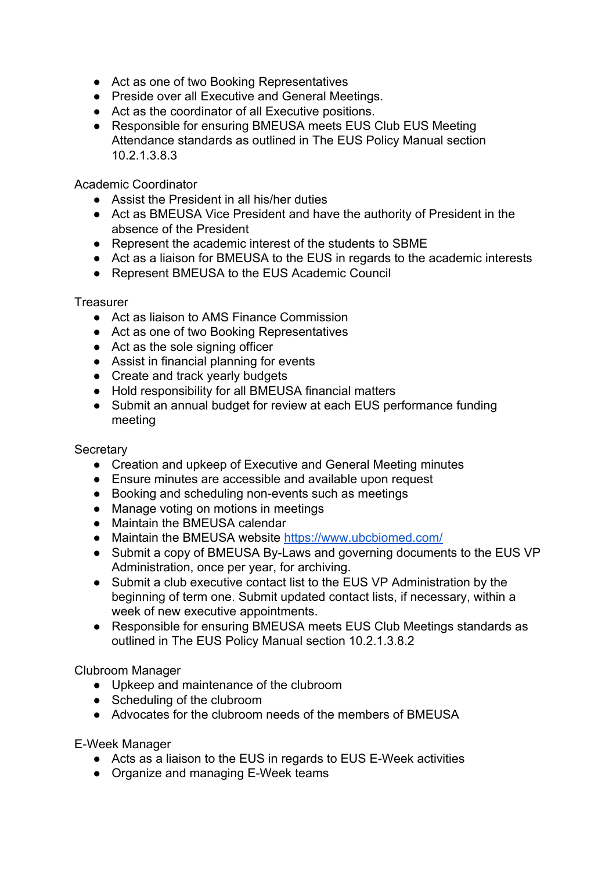- Act as one of two Booking Representatives
- Preside over all Executive and General Meetings.
- Act as the coordinator of all Executive positions.
- Responsible for ensuring BMEUSA meets EUS Club EUS Meeting Attendance standards as outlined in The EUS Policy Manual section 10.2.1.3.8.3

Academic Coordinator

- Assist the President in all his/her duties
- Act as BMEUSA Vice President and have the authority of President in the absence of the President
- Represent the academic interest of the students to SBME
- Act as a liaison for BMEUSA to the EUS in regards to the academic interests
- Represent BMEUSA to the EUS Academic Council

**Treasurer** 

- Act as liaison to AMS Finance Commission
- Act as one of two Booking Representatives
- Act as the sole signing officer
- Assist in financial planning for events
- Create and track yearly budgets
- Hold responsibility for all BMEUSA financial matters
- Submit an annual budget for review at each EUS performance funding meeting

#### **Secretary**

- Creation and upkeep of Executive and General Meeting minutes
- Ensure minutes are accessible and available upon request
- Booking and scheduling non-events such as meetings
- Manage voting on motions in meetings
- Maintain the BMEUSA calendar
- Maintain the BMEUSA website <https://www.ubcbiomed.com/>
- Submit a copy of BMEUSA By-Laws and governing documents to the EUS VP Administration, once per year, for archiving.
- Submit a club executive contact list to the EUS VP Administration by the beginning of term one. Submit updated contact lists, if necessary, within a week of new executive appointments.
- Responsible for ensuring BMEUSA meets EUS Club Meetings standards as outlined in The EUS Policy Manual section 10.2.1.3.8.2

Clubroom Manager

- Upkeep and maintenance of the clubroom
- Scheduling of the clubroom
- Advocates for the clubroom needs of the members of BMEUSA

E-Week Manager

- Acts as a liaison to the EUS in regards to EUS E-Week activities
- Organize and managing E-Week teams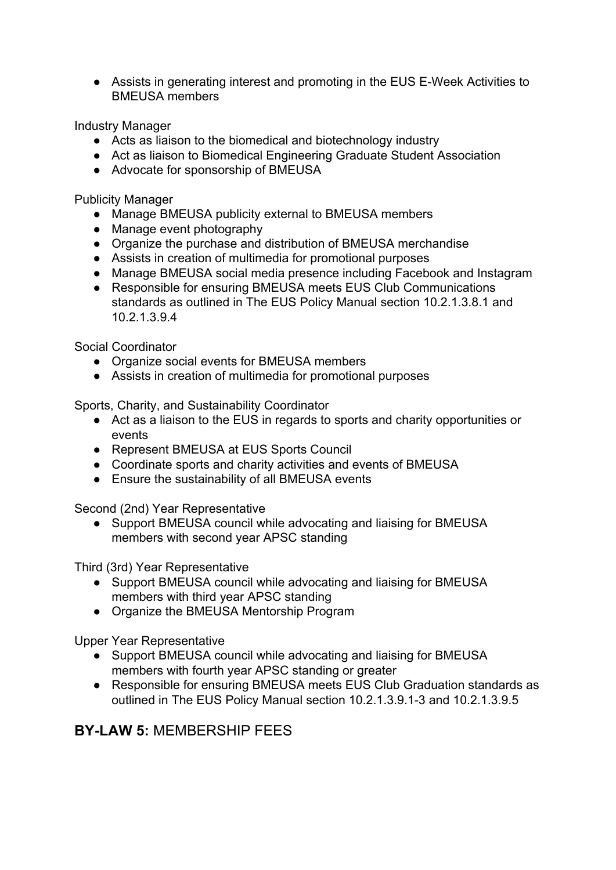● Assists in generating interest and promoting in the EUS E-Week Activities to BMEUSA members

Industry Manager

- Acts as liaison to the biomedical and biotechnology industry
- Act as liaison to Biomedical Engineering Graduate Student Association
- Advocate for sponsorship of BMEUSA

Publicity Manager

- Manage BMEUSA publicity external to BMEUSA members
- Manage event photography
- Organize the purchase and distribution of BMEUSA merchandise
- Assists in creation of multimedia for promotional purposes
- Manage BMEUSA social media presence including Facebook and Instagram
- Responsible for ensuring BMEUSA meets EUS Club Communications standards as outlined in The EUS Policy Manual section 10.2.1.3.8.1 and 10.2.1.3.9.4

Social Coordinator

- Organize social events for BMEUSA members
- Assists in creation of multimedia for promotional purposes

Sports, Charity, and Sustainability Coordinator

- Act as a liaison to the EUS in regards to sports and charity opportunities or events
- Represent BMEUSA at EUS Sports Council
- Coordinate sports and charity activities and events of BMEUSA
- Ensure the sustainability of all BMEUSA events

Second (2nd) Year Representative

• Support BMEUSA council while advocating and liaising for BMEUSA members with second year APSC standing

Third (3rd) Year Representative

- Support BMEUSA council while advocating and liaising for BMEUSA members with third year APSC standing
- Organize the BMEUSA Mentorship Program

Upper Year Representative

- Support BMEUSA council while advocating and liaising for BMEUSA members with fourth year APSC standing or greater
- Responsible for ensuring BMEUSA meets EUS Club Graduation standards as outlined in The EUS Policy Manual section 10.2.1.3.9.1-3 and 10.2.1.3.9.5

## **BY-LAW 5:** MEMBERSHIP FEES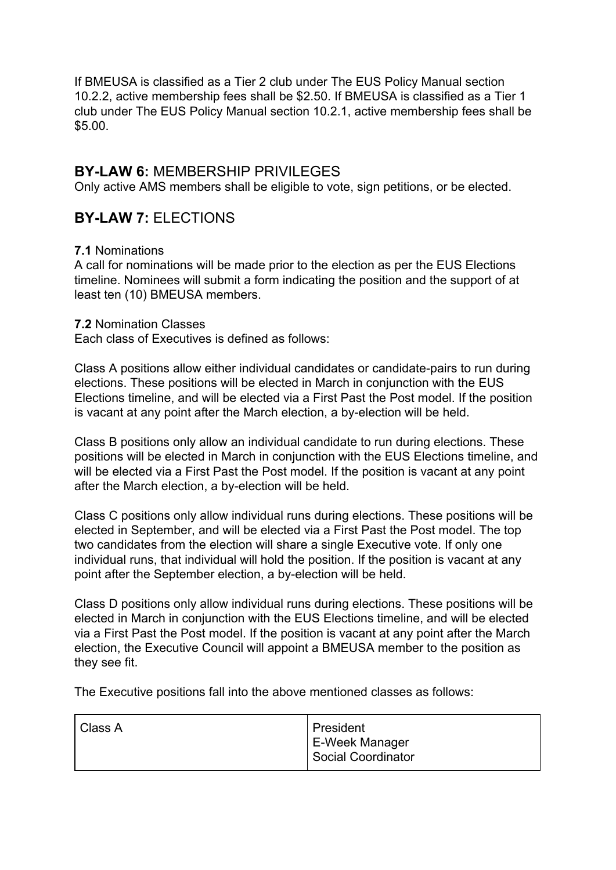If BMEUSA is classified as a Tier 2 club under The EUS Policy Manual section 10.2.2, active membership fees shall be \$2.50. If BMEUSA is classified as a Tier 1 club under The EUS Policy Manual section 10.2.1, active membership fees shall be \$5.00.

#### **BY-LAW 6:** MEMBERSHIP PRIVILEGES

Only active AMS members shall be eligible to vote, sign petitions, or be elected.

### **BY-LAW 7:** ELECTIONS

#### **7.1** Nominations

A call for nominations will be made prior to the election as per the EUS Elections timeline. Nominees will submit a form indicating the position and the support of at least ten (10) BMEUSA members.

#### **7.2** Nomination Classes

Each class of Executives is defined as follows:

Class A positions allow either individual candidates or candidate-pairs to run during elections. These positions will be elected in March in conjunction with the EUS Elections timeline, and will be elected via a First Past the Post model. If the position is vacant at any point after the March election, a by-election will be held.

Class B positions only allow an individual candidate to run during elections. These positions will be elected in March in conjunction with the EUS Elections timeline, and will be elected via a First Past the Post model. If the position is vacant at any point after the March election, a by-election will be held.

Class C positions only allow individual runs during elections. These positions will be elected in September, and will be elected via a First Past the Post model. The top two candidates from the election will share a single Executive vote. If only one individual runs, that individual will hold the position. If the position is vacant at any point after the September election, a by-election will be held.

Class D positions only allow individual runs during elections. These positions will be elected in March in conjunction with the EUS Elections timeline, and will be elected via a First Past the Post model. If the position is vacant at any point after the March election, the Executive Council will appoint a BMEUSA member to the position as they see fit.

The Executive positions fall into the above mentioned classes as follows:

| Class A | President          |
|---------|--------------------|
|         | E-Week Manager     |
|         | Social Coordinator |